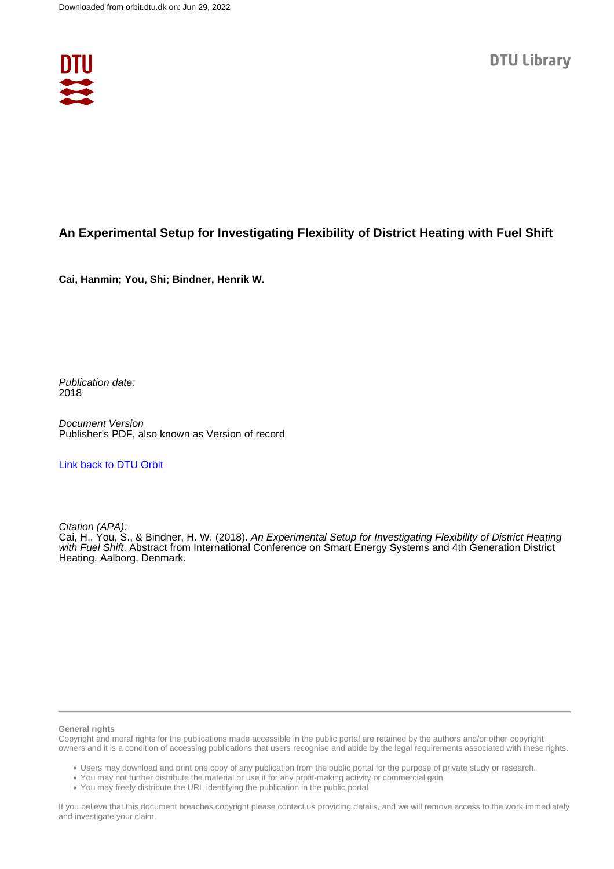

## **An Experimental Setup for Investigating Flexibility of District Heating with Fuel Shift**

**Cai, Hanmin; You, Shi; Bindner, Henrik W.**

Publication date: 2018

Document Version Publisher's PDF, also known as Version of record

## [Link back to DTU Orbit](https://orbit.dtu.dk/en/publications/67e90ae6-74ca-4e77-b06c-bce445e77c64)

Citation (APA):

Cai, H., You, S., & Bindner, H. W. (2018). An Experimental Setup for Investigating Flexibility of District Heating with Fuel Shift. Abstract from International Conference on Smart Energy Systems and 4th Generation District Heating, Aalborg, Denmark.

## **General rights**

Copyright and moral rights for the publications made accessible in the public portal are retained by the authors and/or other copyright owners and it is a condition of accessing publications that users recognise and abide by the legal requirements associated with these rights.

Users may download and print one copy of any publication from the public portal for the purpose of private study or research.

- You may not further distribute the material or use it for any profit-making activity or commercial gain
- You may freely distribute the URL identifying the publication in the public portal

If you believe that this document breaches copyright please contact us providing details, and we will remove access to the work immediately and investigate your claim.